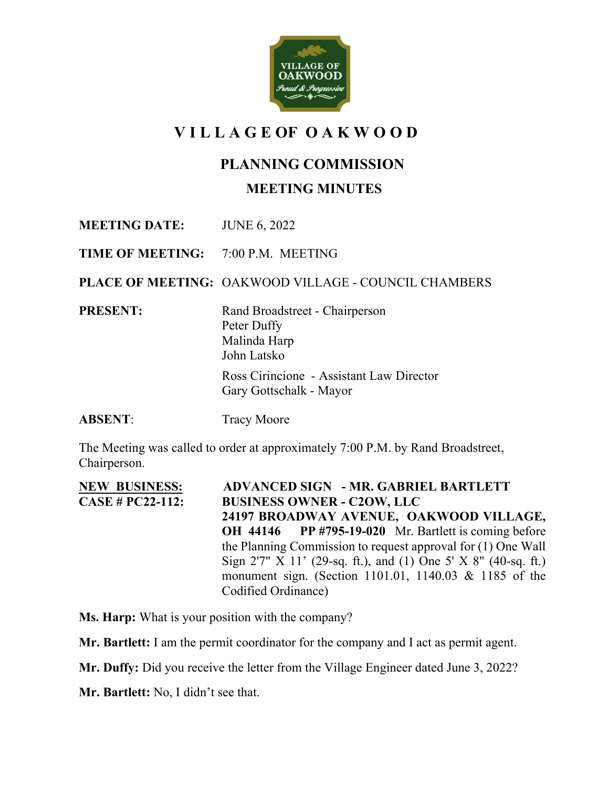

# **V I L L A G E OF O A K W O O D**

# **PLANNING COMMISSION**

#### **MEETING MINUTES**

**MEETING DATE:** JUNE 6, 2022

**TIME OF MEETING:** 7:00 P.M. MEETING

**PLACE OF MEETING:** OAKWOOD VILLAGE - COUNCIL CHAMBERS

**PRESENT:** Rand Broadstreet - Chairperson Peter Duffy Malinda Harp John Latsko Ross Cirincione - Assistant Law Director Gary Gottschalk - Mayor

**ABSENT:** Tracy Moore

The Meeting was called to order at approximately 7:00 P.M. by Rand Broadstreet, Chairperson.

**NEW BUSINESS: ADVANCED SIGN - MR. GABRIEL BARTLETT CASE # PC22-112: BUSINESS OWNER - C2OW, LLC 24197 BROADWAY AVENUE, OAKWOOD VILLAGE, OH 44146 PP #795-19-020** Mr. Bartlett is coming before the Planning Commission to request approval for (1) One Wall Sign 2'7" X 11' (29-sq. ft.), and (1) One 5' X 8" (40-sq. ft.) monument sign. (Section 1101.01, 1140.03 & 1185 of the Codified Ordinance)

**Ms. Harp:** What is your position with the company?

**Mr. Bartlett:** I am the permit coordinator for the company and I act as permit agent.

**Mr. Duffy:** Did you receive the letter from the Village Engineer dated June 3, 2022?

**Mr. Bartlett:** No, I didn't see that.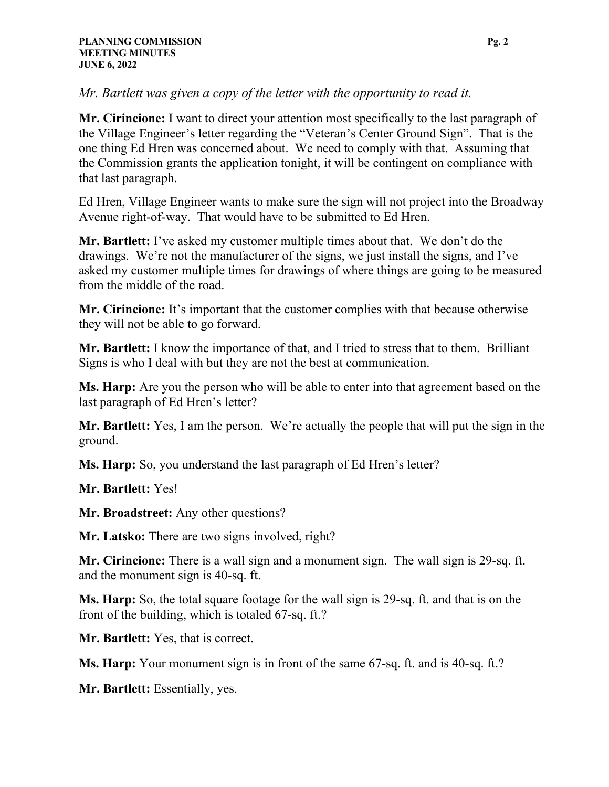*Mr. Bartlett was given a copy of the letter with the opportunity to read it.*

**Mr. Cirincione:** I want to direct your attention most specifically to the last paragraph of the Village Engineer's letter regarding the "Veteran's Center Ground Sign". That is the one thing Ed Hren was concerned about. We need to comply with that. Assuming that the Commission grants the application tonight, it will be contingent on compliance with that last paragraph.

Ed Hren, Village Engineer wants to make sure the sign will not project into the Broadway Avenue right-of-way. That would have to be submitted to Ed Hren.

**Mr. Bartlett:** I've asked my customer multiple times about that. We don't do the drawings. We're not the manufacturer of the signs, we just install the signs, and I've asked my customer multiple times for drawings of where things are going to be measured from the middle of the road.

**Mr. Cirincione:** It's important that the customer complies with that because otherwise they will not be able to go forward.

**Mr. Bartlett:** I know the importance of that, and I tried to stress that to them. Brilliant Signs is who I deal with but they are not the best at communication.

**Ms. Harp:** Are you the person who will be able to enter into that agreement based on the last paragraph of Ed Hren's letter?

**Mr. Bartlett:** Yes, I am the person. We're actually the people that will put the sign in the ground.

**Ms. Harp:** So, you understand the last paragraph of Ed Hren's letter?

**Mr. Bartlett:** Yes!

**Mr. Broadstreet:** Any other questions?

**Mr. Latsko:** There are two signs involved, right?

**Mr. Cirincione:** There is a wall sign and a monument sign. The wall sign is 29-sq. ft. and the monument sign is 40-sq. ft.

**Ms. Harp:** So, the total square footage for the wall sign is 29-sq. ft. and that is on the front of the building, which is totaled 67-sq. ft.?

**Mr. Bartlett:** Yes, that is correct.

**Ms. Harp:** Your monument sign is in front of the same 67-sq. ft. and is 40-sq. ft.?

**Mr. Bartlett:** Essentially, yes.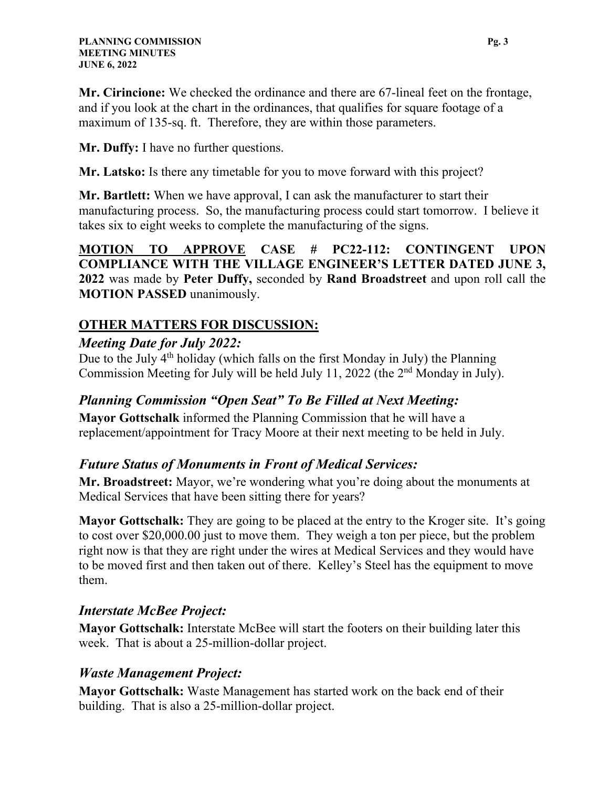**Mr. Cirincione:** We checked the ordinance and there are 67-lineal feet on the frontage, and if you look at the chart in the ordinances, that qualifies for square footage of a maximum of 135-sq. ft. Therefore, they are within those parameters.

**Mr. Duffy:** I have no further questions.

**Mr. Latsko:** Is there any timetable for you to move forward with this project?

**Mr. Bartlett:** When we have approval, I can ask the manufacturer to start their manufacturing process. So, the manufacturing process could start tomorrow. I believe it takes six to eight weeks to complete the manufacturing of the signs.

**MOTION TO APPROVE CASE # PC22-112: CONTINGENT UPON COMPLIANCE WITH THE VILLAGE ENGINEER'S LETTER DATED JUNE 3, 2022** was made by **Peter Duffy,** seconded by **Rand Broadstreet** and upon roll call the **MOTION PASSED** unanimously.

## **OTHER MATTERS FOR DISCUSSION:**

## *Meeting Date for July 2022:*

Due to the July  $4<sup>th</sup>$  holiday (which falls on the first Monday in July) the Planning Commission Meeting for July will be held July 11, 2022 (the 2nd Monday in July).

## *Planning Commission "Open Seat" To Be Filled at Next Meeting:*

**Mayor Gottschalk** informed the Planning Commission that he will have a replacement/appointment for Tracy Moore at their next meeting to be held in July.

## *Future Status of Monuments in Front of Medical Services:*

**Mr. Broadstreet:** Mayor, we're wondering what you're doing about the monuments at Medical Services that have been sitting there for years?

**Mayor Gottschalk:** They are going to be placed at the entry to the Kroger site. It's going to cost over \$20,000.00 just to move them. They weigh a ton per piece, but the problem right now is that they are right under the wires at Medical Services and they would have to be moved first and then taken out of there. Kelley's Steel has the equipment to move them.

## *Interstate McBee Project:*

**Mayor Gottschalk:** Interstate McBee will start the footers on their building later this week. That is about a 25-million-dollar project.

## *Waste Management Project:*

**Mayor Gottschalk:** Waste Management has started work on the back end of their building. That is also a 25-million-dollar project.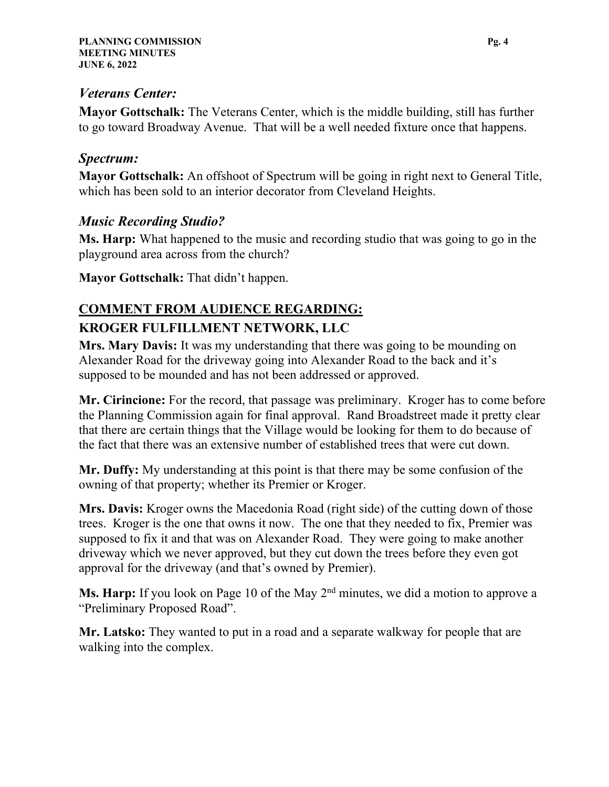#### *Veterans Center:*

**Mayor Gottschalk:** The Veterans Center, which is the middle building, still has further to go toward Broadway Avenue. That will be a well needed fixture once that happens.

## *Spectrum:*

**Mayor Gottschalk:** An offshoot of Spectrum will be going in right next to General Title, which has been sold to an interior decorator from Cleveland Heights.

## *Music Recording Studio?*

**Ms. Harp:** What happened to the music and recording studio that was going to go in the playground area across from the church?

**Mayor Gottschalk:** That didn't happen.

# **COMMENT FROM AUDIENCE REGARDING:**

# **KROGER FULFILLMENT NETWORK, LLC**

**Mrs. Mary Davis:** It was my understanding that there was going to be mounding on Alexander Road for the driveway going into Alexander Road to the back and it's supposed to be mounded and has not been addressed or approved.

**Mr. Cirincione:** For the record, that passage was preliminary. Kroger has to come before the Planning Commission again for final approval. Rand Broadstreet made it pretty clear that there are certain things that the Village would be looking for them to do because of the fact that there was an extensive number of established trees that were cut down.

**Mr. Duffy:** My understanding at this point is that there may be some confusion of the owning of that property; whether its Premier or Kroger.

**Mrs. Davis:** Kroger owns the Macedonia Road (right side) of the cutting down of those trees. Kroger is the one that owns it now. The one that they needed to fix, Premier was supposed to fix it and that was on Alexander Road. They were going to make another driveway which we never approved, but they cut down the trees before they even got approval for the driveway (and that's owned by Premier).

**Ms. Harp:** If you look on Page 10 of the May 2<sup>nd</sup> minutes, we did a motion to approve a "Preliminary Proposed Road".

**Mr. Latsko:** They wanted to put in a road and a separate walkway for people that are walking into the complex.